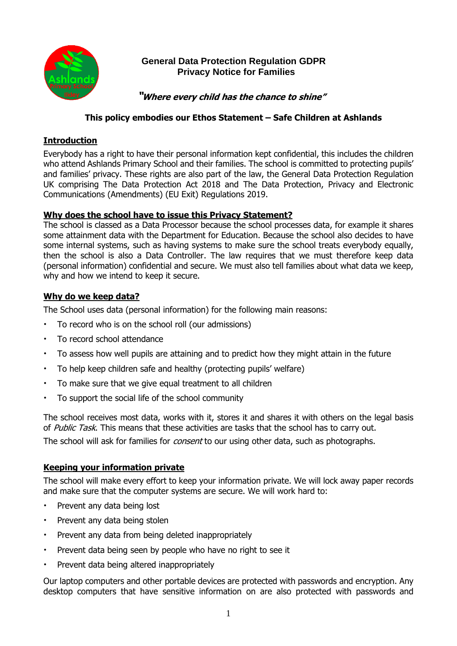

# **General Data Protection Regulation GDPR Privacy Notice for Families**

 **"Where every child has the chance to shine"**

## **This policy embodies our Ethos Statement – Safe Children at Ashlands**

## **Introduction**

Everybody has a right to have their personal information kept confidential, this includes the children who attend Ashlands Primary School and their families. The school is committed to protecting pupils' and families' privacy. These rights are also part of the law, the General Data Protection Regulation UK comprising The Data Protection Act 2018 and The Data Protection, Privacy and Electronic Communications (Amendments) (EU Exit) Regulations 2019.

#### **Why does the school have to issue this Privacy Statement?**

The school is classed as a Data Processor because the school processes data, for example it shares some attainment data with the Department for Education. Because the school also decides to have some internal systems, such as having systems to make sure the school treats everybody equally, then the school is also a Data Controller. The law requires that we must therefore keep data (personal information) confidential and secure. We must also tell families about what data we keep, why and how we intend to keep it secure.

## **Why do we keep data?**

The School uses data (personal information) for the following main reasons:

- To record who is on the school roll (our admissions)
- To record school attendance
- To assess how well pupils are attaining and to predict how they might attain in the future
- To help keep children safe and healthy (protecting pupils' welfare)
- To make sure that we give equal treatment to all children
- To support the social life of the school community

The school receives most data, works with it, stores it and shares it with others on the legal basis of Public Task. This means that these activities are tasks that the school has to carry out.

The school will ask for families for *consent* to our using other data, such as photographs.

#### **Keeping your information private**

The school will make every effort to keep your information private. We will lock away paper records and make sure that the computer systems are secure. We will work hard to:

- Prevent any data being lost
- Prevent any data being stolen
- Prevent any data from being deleted inappropriately
- Prevent data being seen by people who have no right to see it
- Prevent data being altered inappropriately

Our laptop computers and other portable devices are protected with passwords and encryption. Any desktop computers that have sensitive information on are also protected with passwords and